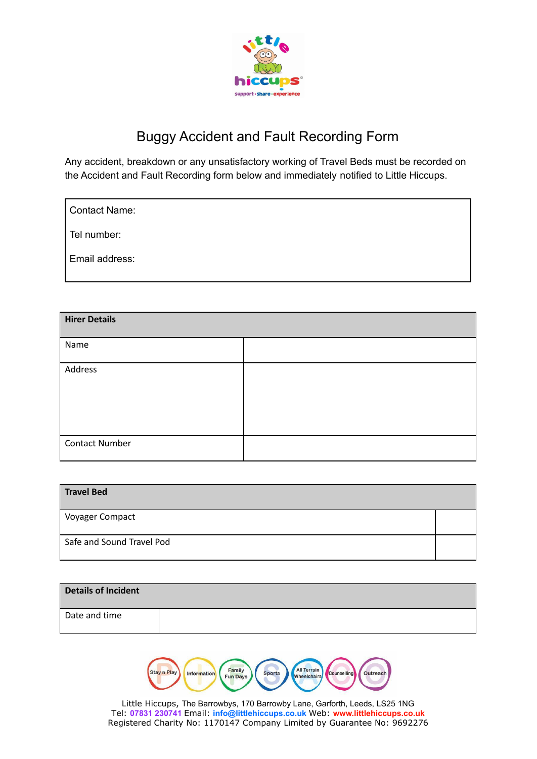

## Buggy Accident and Fault Recording Form

Any accident, breakdown or any unsatisfactory working of Travel Beds must be recorded on the Accident and Fault Recording form below and immediately notified to Little Hiccups.

Tel number:

Email address:

| <b>Hirer Details</b>  |  |
|-----------------------|--|
| Name                  |  |
| Address               |  |
|                       |  |
|                       |  |
| <b>Contact Number</b> |  |

| <b>Travel Bed</b>         |  |
|---------------------------|--|
| Voyager Compact           |  |
| Safe and Sound Travel Pod |  |

| Details of Incident |  |
|---------------------|--|
| Date and time       |  |

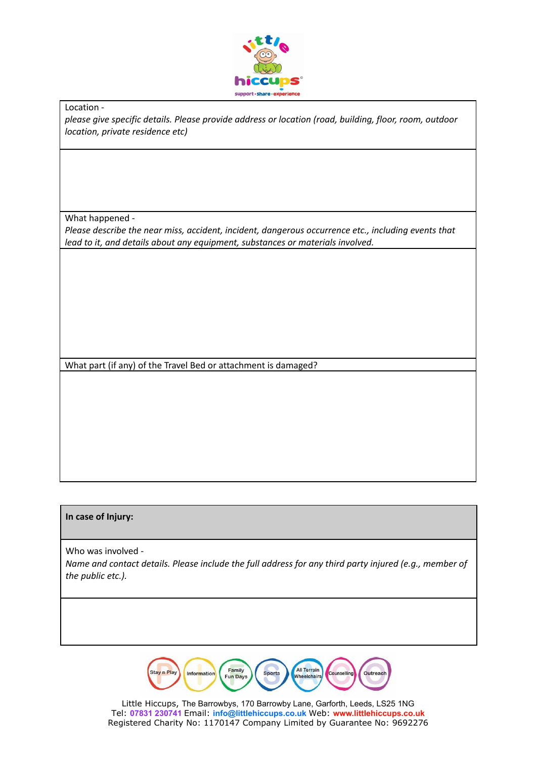

Location -

*please give specific details. Please provide address or location (road, building, floor, room, outdoor location, private residence etc)*

What happened -

*Please describe the near miss, accident, incident, dangerous occurrence etc., including events that lead to it, and details about any equipment, substances or materials involved.*

What part (if any) of the Travel Bed or attachment is damaged?

## **In case of Injury:**

Who was involved - *Name and contact details. Please include the full address for any third party injured (e.g., member of the public etc.).*

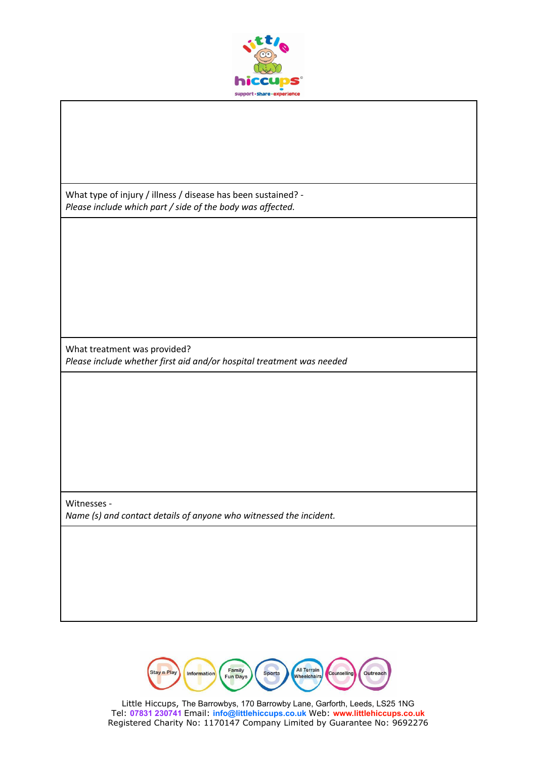

What type of injury / illness / disease has been sustained? - *Please include which part / side of the body was affected.*

What treatment was provided? *Please include whether first aid and/or hospital treatment was needed*

Witnesses - *Name (s) and contact details of anyone who witnessed the incident.*

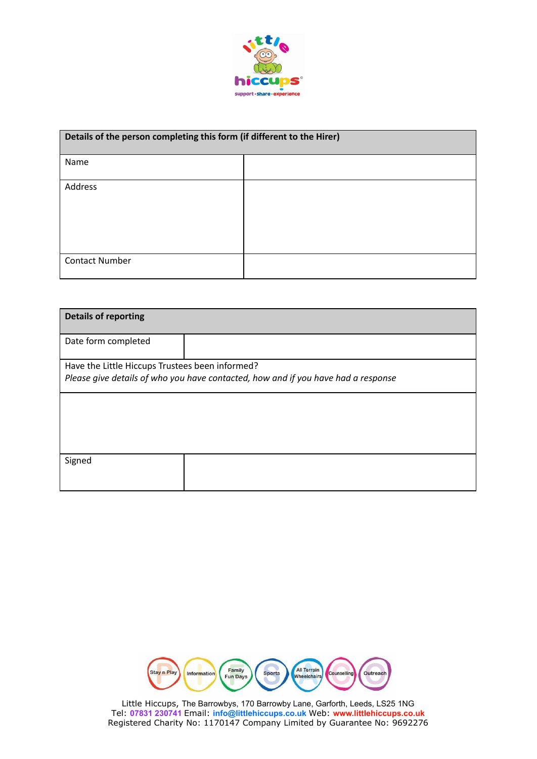

| Details of the person completing this form (if different to the Hirer) |  |
|------------------------------------------------------------------------|--|
| Name                                                                   |  |
| Address                                                                |  |
|                                                                        |  |
|                                                                        |  |
| <b>Contact Number</b>                                                  |  |

| <b>Details of reporting</b>                                                       |  |
|-----------------------------------------------------------------------------------|--|
| Date form completed                                                               |  |
| Have the Little Hiccups Trustees been informed?                                   |  |
| Please give details of who you have contacted, how and if you have had a response |  |
|                                                                                   |  |
|                                                                                   |  |
|                                                                                   |  |
| Signed                                                                            |  |
|                                                                                   |  |

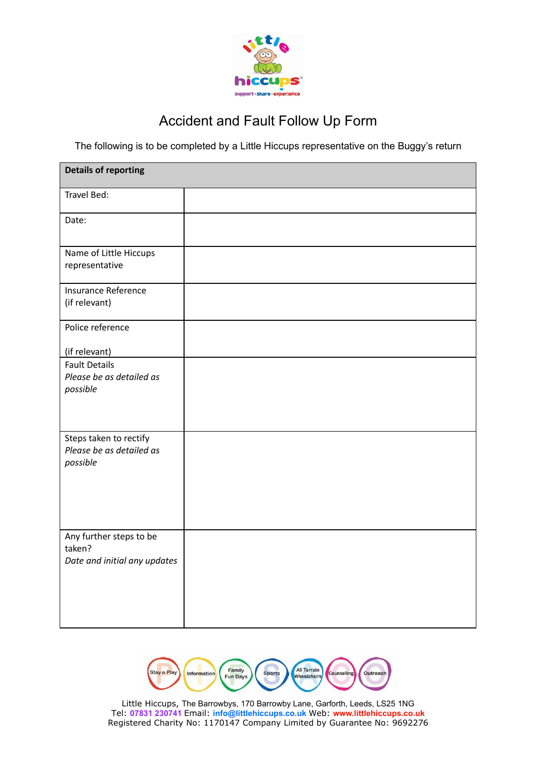

## Accident and Fault Follow Up Form

The following is to be completed by a Little Hiccups representative on the Buggy's return

| <b>Details of reporting</b>                                       |  |
|-------------------------------------------------------------------|--|
| Travel Bed:                                                       |  |
| Date:                                                             |  |
| Name of Little Hiccups<br>representative                          |  |
| Insurance Reference<br>(if relevant)                              |  |
| Police reference                                                  |  |
| (if relevant)                                                     |  |
| <b>Fault Details</b><br>Please be as detailed as<br>possible      |  |
| Steps taken to rectify<br>Please be as detailed as<br>possible    |  |
| Any further steps to be<br>taken?<br>Date and initial any updates |  |